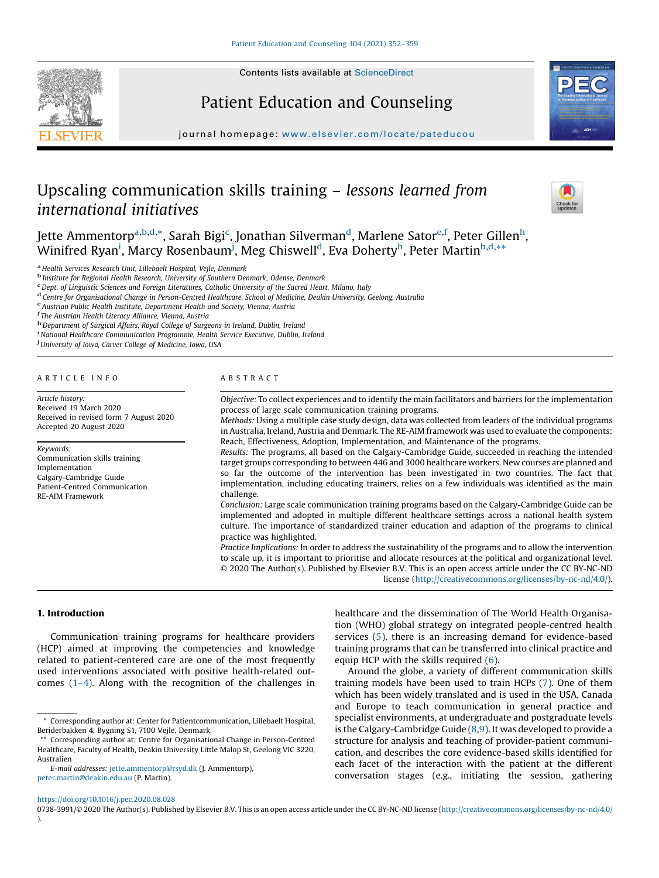Contents lists available at [ScienceDirect](http://www.sciencedirect.com/science/journal/07383991)





# Patient Education and Counseling

journal homepage: <www.elsevier.com/locate/pateducou>

# Upscaling communication skills training – lessons learned from international initiatives



Jette Ammentorp<sup>a,b,d,</sup>\*, Sarah Bigi<sup>c</sup>, Jonathan Silverman<sup>d</sup>, Marlene Sator<sup>e,f</sup>, Peter Gillen<sup>h</sup>, Winifred Ryan<sup>i</sup>, Marcy Rosenbaum<sup>j</sup>, Meg Chiswell<sup>d</sup>, Eva Doherty<sup>h</sup>, Peter Martin<sup>b,d,</sup>\*\*

<sup>a</sup> Health Services Research Unit, Lillebaelt Hospital, Vejle, Denmark<br><sup>b</sup> Institute for Regional Health Research, University of Southern Denmark, Odense, Denmark<br><sup>c</sup> Dept. of Linguistic Sciences and Foreign Literatures, C

<sup>d</sup> Centre for Organisational Change in Person-Centred Healthcare, School of Medicine, Deakin University, Geelong, Australia<br><sup>e</sup> Austrian Public Health Institute, Department Health and Society, Vienna, Austria<br><sup>f</sup> The Aus

<sup>h</sup> Department of Surgical Affairs, Royal College of Surgeons in Ireland, Dublin, Ireland

<sup>i</sup> National Healthcare Communication Programme, Health Service Executive, Dublin, Ireland

<sup>j</sup> University of Iowa, Carver College of Medicine, Iowa, USA

#### A R T I C L E I N F O

Article history: Received 19 March 2020 Received in revised form 7 August 2020 Accepted 20 August 2020

#### Keywords:

Communication skills training Implementation Calgary-Cambridge Guide Patient-Centred Communication RE-AIM Framework

# A B S T R A C T

Objective: To collect experiences and to identify the main facilitators and barriers for the implementation process of large scale communication training programs.

Methods: Using a multiple case study design, data was collected from leaders of the individual programs in Australia, Ireland, Austria and Denmark. The RE-AIM framework was used to evaluate the components: Reach, Effectiveness, Adoption, Implementation, and Maintenance of the programs.

Results: The programs, all based on the Calgary-Cambridge Guide, succeeded in reaching the intended target groups corresponding to between 446 and 3000 healthcare workers. New courses are planned and so far the outcome of the intervention has been investigated in two countries. The fact that implementation, including educating trainers, relies on a few individuals was identified as the main challenge.

Conclusion: Large scale communication training programs based on the Calgary-Cambridge Guide can be implemented and adopted in multiple different healthcare settings across a national health system culture. The importance of standardized trainer education and adaption of the programs to clinical practice was highlighted.

Practice Implications: In order to address the sustainability of the programs and to allow the intervention to scale up, it is important to prioritise and allocate resources at the political and organizational level. © 2020 The Author(s). Published by Elsevier B.V. This is an open access article under the CC BY-NC-ND license [\(http://creativecommons.org/licenses/by-nc-nd/4.0/](http://creativecommons.org/licenses/by-nc-nd/4.0/)).

#### 1. Introduction

Communication training programs for healthcare providers (HCP) aimed at improving the competencies and knowledge related to patient-centered care are one of the most frequently used interventions associated with positive health-related outcomes (1[–](#page-6-0)4). Along with the recognition of the challenges in

E-mail addresses: [jette.ammentorp@rsyd.dk](mailto:jette.ammentorp@rsyd.dk) (J. Ammentorp), [peter.martin@deakin.edu.au](mailto:peter.martin@deakin.edu.au) (P. Martin).

healthcare and the dissemination of The World Health Organisation (WHO) global strategy on integrated people-centred health services [\(5](#page-6-0)), there is an increasing demand for evidence-based training programs that can be transferred into clinical practice and equip HCP with the skills required ([6\)](#page-6-0).

Around the globe, a variety of different communication skills training models have been used to train HCPs ([7](#page-6-0)). One of them which has been widely translated and is used in the USA, Canada and Europe to teach communication in general practice and specialist environments, at undergraduate and postgraduate levels is the Calgary-Cambridge Guide [\(8,9](#page-6-0)). It was developed to provide a structure for analysis and teaching of provider-patient communication, and describes the core evidence-based skills identified for each facet of the interaction with the patient at the different conversation stages (e.g., initiating the session, gathering

0738-3991/© 2020 The Author(s). Published by Elsevier B.V. This is an open access article under the CC BY-NC-ND license [\(http://creativecommons.org/licenses/by-nc-nd/4.0/](http://creativecommons.org/licenses/by-nc-nd/4.0/) ).

<sup>\*</sup> Corresponding author at: Center for Patientcommunication, Lillebaelt Hospital, Beriderbakken 4, Bygning S1, 7100 Vejle, Denmark.

<sup>\*\*</sup> Corresponding author at: Centre for Organisational Change in Person-Centred Healthcare, Faculty of Health, Deakin University Little Malop St, Geelong VIC 3220, Australien

<https://doi.org/10.1016/j.pec.2020.08.028>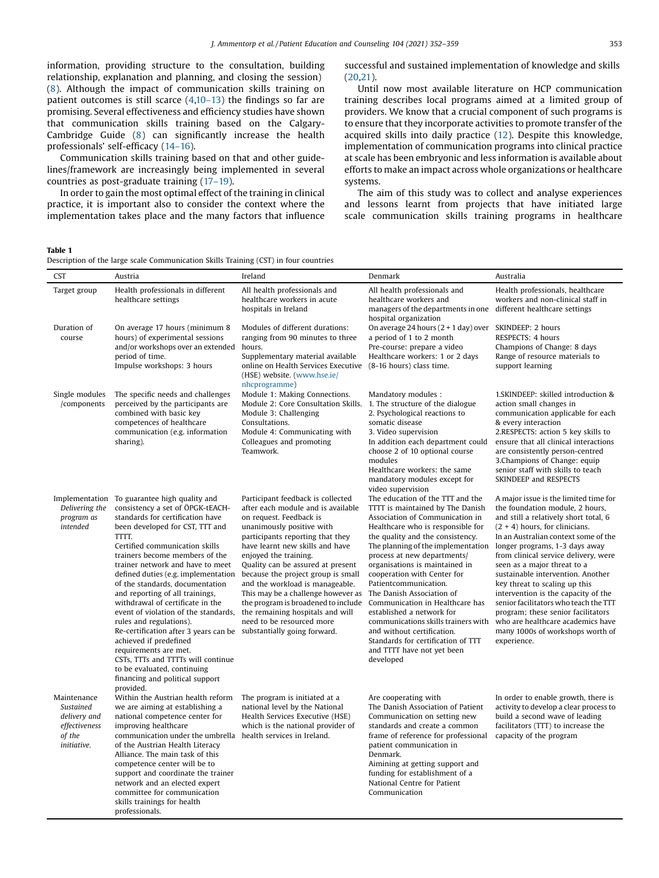<span id="page-1-0"></span>information, providing structure to the consultation, building relationship, explanation and planning, and closing the session) ([8](#page-6-0)). Although the impact of communication skills training on patient outcomes is still scarce ([4](#page-6-0),10–[13\)](#page-6-0) the findings so far are promising. Several effectiveness and efficiency studies have shown that communication skills training based on the Calgary-Cambridge Guide [\(8](#page-6-0)) can significantly increase the health professionals' self-efficacy (14–[16\)](#page-6-0).

Communication skills training based on that and other guidelines/framework are increasingly being implemented in several countries as post-graduate training (17–[19\)](#page-6-0).

In order to gain the most optimal effect of the training in clinical practice, it is important also to consider the context where the implementation takes place and the many factors that influence

successful and sustained implementation of knowledge and skills ([20,21\)](#page-7-0).

Until now most available literature on HCP communication training describes local programs aimed at a limited group of providers. We know that a crucial component of such programs is to ensure that they incorporate activities to promote transfer of the acquired skills into daily practice ([12](#page-6-0)). Despite this knowledge, implementation of communication programs into clinical practice at scale has been embryonic and less information is available about efforts to make an impact across whole organizations or healthcare systems.

The aim of this study was to collect and analyse experiences and lessons learnt from projects that have initiated large scale communication skills training programs in healthcare

#### Table 1

Description of the large scale Communication Skills Training (CST) in four countries

| CST                                                                                | Austria                                                                                                                                                                                                                                                                                                                                                                                                                                                                                                                                                                                                                                                                                                                                    | Ireland                                                                                                                                                                                                                                                                                                                                                                                                                                                                                     | Denmark                                                                                                                                                                                                                                                                                                                                                                                                                                                                                                                                                                                            | Australia                                                                                                                                                                                                                                                                                                                                                                                                                                                                                                                                                                                  |
|------------------------------------------------------------------------------------|--------------------------------------------------------------------------------------------------------------------------------------------------------------------------------------------------------------------------------------------------------------------------------------------------------------------------------------------------------------------------------------------------------------------------------------------------------------------------------------------------------------------------------------------------------------------------------------------------------------------------------------------------------------------------------------------------------------------------------------------|---------------------------------------------------------------------------------------------------------------------------------------------------------------------------------------------------------------------------------------------------------------------------------------------------------------------------------------------------------------------------------------------------------------------------------------------------------------------------------------------|----------------------------------------------------------------------------------------------------------------------------------------------------------------------------------------------------------------------------------------------------------------------------------------------------------------------------------------------------------------------------------------------------------------------------------------------------------------------------------------------------------------------------------------------------------------------------------------------------|--------------------------------------------------------------------------------------------------------------------------------------------------------------------------------------------------------------------------------------------------------------------------------------------------------------------------------------------------------------------------------------------------------------------------------------------------------------------------------------------------------------------------------------------------------------------------------------------|
| Target group                                                                       | Health professionals in different<br>healthcare settings                                                                                                                                                                                                                                                                                                                                                                                                                                                                                                                                                                                                                                                                                   | All health professionals and<br>healthcare workers in acute<br>hospitals in Ireland                                                                                                                                                                                                                                                                                                                                                                                                         | All health professionals and<br>healthcare workers and<br>managers of the departments in one different healthcare settings<br>hospital organization                                                                                                                                                                                                                                                                                                                                                                                                                                                | Health professionals, healthcare<br>workers and non-clinical staff in                                                                                                                                                                                                                                                                                                                                                                                                                                                                                                                      |
| Duration of<br>course                                                              | On average 17 hours (minimum 8<br>hours) of experimental sessions<br>and/or workshops over an extended<br>period of time.<br>Impulse workshops: 3 hours                                                                                                                                                                                                                                                                                                                                                                                                                                                                                                                                                                                    | Modules of different durations:<br>ranging from 90 minutes to three<br>hours.<br>Supplementary material available<br>online on Health Services Executive<br>(HSE) website. (www.hse.ie/<br>nhcprogramme)                                                                                                                                                                                                                                                                                    | On average 24 hours (2 + 1 day) over SKINDEEP: 2 hours<br>a period of 1 to 2 month<br>Pre-course: prepare a video<br>Healthcare workers: 1 or 2 days<br>(8-16 hours) class time.                                                                                                                                                                                                                                                                                                                                                                                                                   | RESPECTS: 4 hours<br>Champions of Change: 8 days<br>Range of resource materials to<br>support learning                                                                                                                                                                                                                                                                                                                                                                                                                                                                                     |
| Single modules<br>/components                                                      | The specific needs and challenges<br>perceived by the participants are<br>combined with basic key<br>competences of healthcare<br>communication (e.g. information<br>sharing).                                                                                                                                                                                                                                                                                                                                                                                                                                                                                                                                                             | Module 1: Making Connections.<br>Module 2: Core Consultation Skills.<br>Module 3: Challenging<br>Consultations.<br>Module 4: Communicating with<br>Colleagues and promoting<br>Teamwork.                                                                                                                                                                                                                                                                                                    | Mandatory modules :<br>1. The structure of the dialogue<br>2. Psychological reactions to<br>somatic disease<br>3. Video supervision<br>In addition each department could<br>choose 2 of 10 optional course<br>modules<br>Healthcare workers: the same<br>mandatory modules except for<br>video supervision                                                                                                                                                                                                                                                                                         | 1.SKINDEEP: skilled introduction &<br>action small changes in<br>communication applicable for each<br>& every interaction<br>2.RESPECTS: action 5 key skills to<br>ensure that all clinical interactions<br>are consistently person-centred<br>3. Champions of Change: equip<br>senior staff with skills to teach<br>SKINDEEP and RESPECTS                                                                                                                                                                                                                                                 |
| Delivering the<br>program as<br>intended                                           | Implementation To guarantee high quality and<br>consistency a set of ÖPGK-tEACH-<br>standards for certification have<br>been developed for CST, TTT and<br>TTTT.<br>Certified communication skills<br>trainers become members of the<br>trainer network and have to meet<br>defined duties (e.g. implementation<br>of the standards, documentation<br>and reporting of all trainings,<br>withdrawal of certificate in the<br>event of violation of the standards,<br>rules and regulations).<br>Re-certification after 3 years can be substantially going forward.<br>achieved if predefined<br>requirements are met.<br>CSTs, TTTs and TTTTs will continue<br>to be evaluated, continuing<br>financing and political support<br>provided. | Participant feedback is collected<br>after each module and is available<br>on request. Feedback is<br>unanimously positive with<br>participants reporting that they<br>have learnt new skills and have<br>enjoyed the training.<br>Quality can be assured at present<br>because the project group is small<br>and the workload is manageable.<br>This may be a challenge however as<br>the program is broadened to include<br>the remaining hospitals and will<br>need to be resourced more | The education of the TTT and the<br>TTTT is maintained by The Danish<br>Association of Communication in<br>Healthcare who is responsible for<br>the quality and the consistency.<br>The planning of the implementation<br>process at new departments/<br>organisations is maintained in<br>cooperation with Center for<br>Patientcommunication.<br>The Danish Association of<br>Communication in Healthcare has<br>established a network for<br>communications skills trainers with<br>and without certification.<br>Standards for certification of TTT<br>and TTTT have not yet been<br>developed | A major issue is the limited time for<br>the foundation module, 2 hours,<br>and still a relatively short total, 6<br>$(2 + 4)$ hours, for clinicians.<br>In an Australian context some of the<br>longer programs, 1-3 days away<br>from clinical service delivery, were<br>seen as a major threat to a<br>sustainable intervention. Another<br>key threat to scaling up this<br>intervention is the capacity of the<br>senior facilitators who teach the TTT<br>program; these senior facilitators<br>who are healthcare academics have<br>many 1000s of workshops worth of<br>experience. |
| Maintenance<br>Sustained<br>delivery and<br>effectiveness<br>of the<br>initiative. | Within the Austrian health reform<br>we are aiming at establishing a<br>national competence center for<br>improving healthcare<br>communication under the umbrella health services in Ireland.<br>of the Austrian Health Literacy<br>Alliance. The main task of this<br>competence center will be to<br>support and coordinate the trainer<br>network and an elected expert<br>committee for communication<br>skills trainings for health<br>professionals.                                                                                                                                                                                                                                                                                | The program is initiated at a<br>national level by the National<br>Health Services Executive (HSE)<br>which is the national provider of                                                                                                                                                                                                                                                                                                                                                     | Are cooperating with<br>The Danish Association of Patient<br>Communication on setting new<br>standards and create a common<br>frame of reference for professional<br>patient communication in<br>Denmark.<br>Aimining at getting support and<br>funding for establishment of a<br>National Centre for Patient<br>Communication                                                                                                                                                                                                                                                                     | In order to enable growth, there is<br>activity to develop a clear process to<br>build a second wave of leading<br>facilitators (TTT) to increase the<br>capacity of the program                                                                                                                                                                                                                                                                                                                                                                                                           |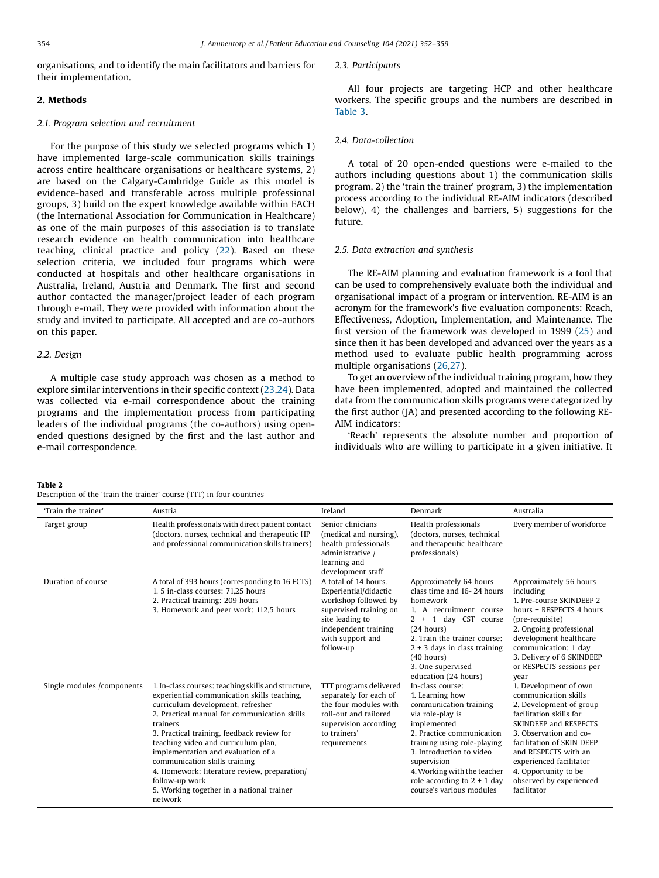<span id="page-2-0"></span>organisations, and to identify the main facilitators and barriers for their implementation.

# 2. Methods

# 2.1. Program selection and recruitment

For the purpose of this study we selected programs which 1) have implemented large-scale communication skills trainings across entire healthcare organisations or healthcare systems, 2) are based on the Calgary-Cambridge Guide as this model is evidence-based and transferable across multiple professional groups, 3) build on the expert knowledge available within EACH (the International Association for Communication in Healthcare) as one of the main purposes of this association is to translate research evidence on health communication into healthcare teaching, clinical practice and policy [\(22](#page-7-0)). Based on these selection criteria, we included four programs which were conducted at hospitals and other healthcare organisations in Australia, Ireland, Austria and Denmark. The first and second author contacted the manager/project leader of each program through e-mail. They were provided with information about the study and invited to participate. All accepted and are co-authors on this paper.

## 2.2. Design

A multiple case study approach was chosen as a method to explore similar interventions in their specific context ([23](#page-7-0),[24](#page-7-0)). Data was collected via e-mail correspondence about the training programs and the implementation process from participating leaders of the individual programs (the co-authors) using openended questions designed by the first and the last author and e-mail correspondence.

#### 2.3. Participants

All four projects are targeting HCP and other healthcare workers. The specific groups and the numbers are described in [Table](#page-3-0) 3.

## 2.4. Data-collection

A total of 20 open-ended questions were e-mailed to the authors including questions about 1) the communication skills program, 2) the 'train the trainer' program, 3) the implementation process according to the individual RE-AIM indicators (described below), 4) the challenges and barriers, 5) suggestions for the future.

## 2.5. Data extraction and synthesis

The RE-AIM planning and evaluation framework is a tool that can be used to comprehensively evaluate both the individual and organisational impact of a program or intervention. RE-AIM is an acronym for the framework's five evaluation components: Reach, Effectiveness, Adoption, Implementation, and Maintenance. The first version of the framework was developed in 1999 [\(25\)](#page-7-0) and since then it has been developed and advanced over the years as a method used to evaluate public health programming across multiple organisations [\(26](#page-7-0),[27](#page-7-0)).

To get an overview of the individual training program, how they have been implemented, adopted and maintained the collected data from the communication skills programs were categorized by the first author (JA) and presented according to the following RE-AIM indicators:

'Reach' represents the absolute number and proportion of individuals who are willing to participate in a given initiative. It

#### Table 2

Description of the 'train the trainer' course (TTT) in four countries

| 'Train the trainer'        | Austria                                                                                                                                                                                                                                                                                                                                                                                                                                                                                   | Ireland                                                                                                                                                                     | Denmark                                                                                                                                                                                                                                                                                             | Australia                                                                                                                                                                                                                                                                                                |
|----------------------------|-------------------------------------------------------------------------------------------------------------------------------------------------------------------------------------------------------------------------------------------------------------------------------------------------------------------------------------------------------------------------------------------------------------------------------------------------------------------------------------------|-----------------------------------------------------------------------------------------------------------------------------------------------------------------------------|-----------------------------------------------------------------------------------------------------------------------------------------------------------------------------------------------------------------------------------------------------------------------------------------------------|----------------------------------------------------------------------------------------------------------------------------------------------------------------------------------------------------------------------------------------------------------------------------------------------------------|
| Target group               | Health professionals with direct patient contact<br>(doctors, nurses, technical and therapeutic HP<br>and professional communication skills trainers)                                                                                                                                                                                                                                                                                                                                     | Senior clinicians<br>(medical and nursing),<br>health professionals<br>administrative /<br>learning and<br>development staff                                                | Health professionals<br>(doctors, nurses, technical<br>and therapeutic healthcare<br>professionals)                                                                                                                                                                                                 | Every member of workforce                                                                                                                                                                                                                                                                                |
| Duration of course         | A total of 393 hours (corresponding to 16 ECTS)<br>1.5 in-class courses: 71.25 hours<br>2. Practical training: 209 hours<br>3. Homework and peer work: 112,5 hours                                                                                                                                                                                                                                                                                                                        | A total of 14 hours.<br>Experiential/didactic<br>workshop followed by<br>supervised training on<br>site leading to<br>independent training<br>with support and<br>follow-up | Approximately 64 hours<br>class time and 16-24 hours<br>homework<br>1. A recruitment course<br>1 day CST course<br>$2 +$<br>(24 hours)<br>2. Train the trainer course:<br>$2 + 3$ days in class training<br>(40 hours)<br>3. One supervised<br>education (24 hours)                                 | Approximately 56 hours<br>including<br>1. Pre-course SKINDEEP 2<br>hours + RESPECTS 4 hours<br>(pre-requisite)<br>2. Ongoing professional<br>development healthcare<br>communication: 1 day<br>3. Delivery of 6 SKINDEEP<br>or RESPECTS sessions per<br>year                                             |
| Single modules /components | 1. In-class courses: teaching skills and structure,<br>experiential communication skills teaching,<br>curriculum development, refresher<br>2. Practical manual for communication skills<br>trainers<br>3. Practical training, feedback review for<br>teaching video and curriculum plan,<br>implementation and evaluation of a<br>communication skills training<br>4. Homework: literature review, preparation/<br>follow-up work<br>5. Working together in a national trainer<br>network | TTT programs delivered<br>separately for each of<br>the four modules with<br>roll-out and tailored<br>supervision according<br>to trainers'<br>requirements                 | In-class course:<br>1. Learning how<br>communication training<br>via role-play is<br>implemented<br>2. Practice communication<br>training using role-playing<br>3. Introduction to video<br>supervision<br>4. Working with the teacher<br>role according to $2 + 1$ day<br>course's various modules | 1. Development of own<br>communication skills<br>2. Development of group<br>facilitation skills for<br>SKINDEEP and RESPECTS<br>3. Observation and co-<br>facilitation of SKIN DEEP<br>and RESPECTS with an<br>experienced facilitator<br>4. Opportunity to be<br>observed by experienced<br>facilitator |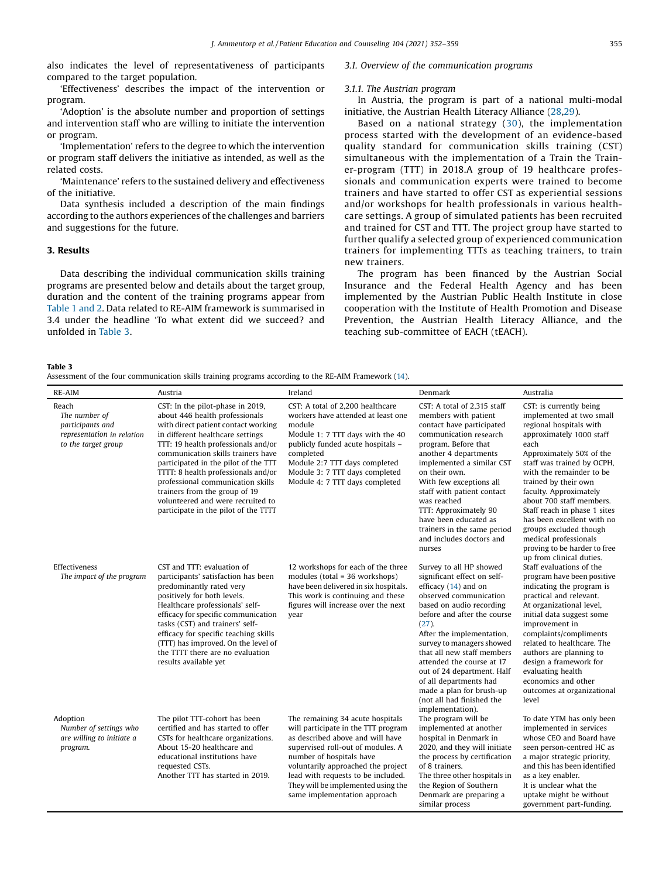<span id="page-3-0"></span>also indicates the level of representativeness of participants compared to the target population.

'Effectiveness' describes the impact of the intervention or program.

'Adoption' is the absolute number and proportion of settings and intervention staff who are willing to initiate the intervention or program.

'Implementation' refers to the degree to which the intervention or program staff delivers the initiative as intended, as well as the related costs.

'Maintenance' refers to the sustained delivery and effectiveness of the initiative.

Data synthesis included a description of the main findings according to the authors experiences of the challenges and barriers and suggestions for the future.

## 3. Results

Data describing the individual communication skills training programs are presented below and details about the target group, duration and the content of the training programs appear from [Table](#page-1-0) 1 and 2. Data related to RE-AIM framework is summarised in 3.4 under the headline 'To what extent did we succeed? and unfolded in Table 3.

#### 3.1. Overview of the communication programs

#### 3.1.1. The Austrian program

In Austria, the program is part of a national multi-modal initiative, the Austrian Health Literacy Alliance [\(28,29](#page-7-0)).

Based on a national strategy ([30](#page-7-0)), the implementation process started with the development of an evidence-based quality standard for communication skills training (CST) simultaneous with the implementation of a Train the Trainer-program (TTT) in 2018.A group of 19 healthcare professionals and communication experts were trained to become trainers and have started to offer CST as experiential sessions and/or workshops for health professionals in various healthcare settings. A group of simulated patients has been recruited and trained for CST and TTT. The project group have started to further qualify a selected group of experienced communication trainers for implementing TTTs as teaching trainers, to train new trainers.

The program has been financed by the Austrian Social Insurance and the Federal Health Agency and has been implemented by the Austrian Public Health Institute in close cooperation with the Institute of Health Promotion and Disease Prevention, the Austrian Health Literacy Alliance, and the teaching sub-committee of EACH (tEACH).

## Table 3

Assessment of the four communication skills training programs according to the RE-AIM Framework ([14](#page-6-0)).

| RE-AIM                                                                                          | Austria                                                                                                                                                                                                                                                                                                                                                                                                                                                      | Ireland                                                                                                                                                                                                                                                                                                                        | Denmark                                                                                                                                                                                                                                                                                                                                                                                                                                  | Australia                                                                                                                                                                                                                                                                                                                                                                                                                                                           |
|-------------------------------------------------------------------------------------------------|--------------------------------------------------------------------------------------------------------------------------------------------------------------------------------------------------------------------------------------------------------------------------------------------------------------------------------------------------------------------------------------------------------------------------------------------------------------|--------------------------------------------------------------------------------------------------------------------------------------------------------------------------------------------------------------------------------------------------------------------------------------------------------------------------------|------------------------------------------------------------------------------------------------------------------------------------------------------------------------------------------------------------------------------------------------------------------------------------------------------------------------------------------------------------------------------------------------------------------------------------------|---------------------------------------------------------------------------------------------------------------------------------------------------------------------------------------------------------------------------------------------------------------------------------------------------------------------------------------------------------------------------------------------------------------------------------------------------------------------|
| Reach<br>The number of<br>participants and<br>representation in relation<br>to the target group | CST: In the pilot-phase in 2019,<br>about 446 health professionals<br>with direct patient contact working<br>in different healthcare settings<br>TTT: 19 health professionals and/or<br>communication skills trainers have<br>participated in the pilot of the TTT<br>TTTT: 8 health professionals and/or<br>professional communication skills<br>trainers from the group of 19<br>volunteered and were recruited to<br>participate in the pilot of the TTTT | CST: A total of 2,200 healthcare<br>workers have attended at least one<br>module<br>Module 1: 7 TTT days with the 40<br>publicly funded acute hospitals -<br>completed<br>Module 2:7 TTT days completed<br>Module 3: 7 TTT days completed<br>Module 4: 7 TTT days completed                                                    | CST: A total of 2,315 staff<br>members with patient<br>contact have participated<br>communication research<br>program. Before that<br>another 4 departments<br>implemented a similar CST<br>on their own.<br>With few exceptions all<br>staff with patient contact<br>was reached<br>TTT: Approximately 90<br>have been educated as<br>trainers in the same period<br>and includes doctors and<br>nurses                                 | CST: is currently being<br>implemented at two small<br>regional hospitals with<br>approximately 1000 staff<br>each<br>Approximately 50% of the<br>staff was trained by OCPH,<br>with the remainder to be<br>trained by their own<br>faculty. Approximately<br>about 700 staff members.<br>Staff reach in phase 1 sites<br>has been excellent with no<br>groups excluded though<br>medical professionals<br>proving to be harder to free<br>up from clinical duties. |
| Effectiveness<br>The impact of the program                                                      | CST and TTT: evaluation of<br>participants' satisfaction has been<br>predominantly rated very<br>positively for both levels.<br>Healthcare professionals' self-<br>efficacy for specific communication<br>tasks (CST) and trainers' self-<br>efficacy for specific teaching skills<br>(TTT) has improved. On the level of<br>the TTTT there are no evaluation<br>results available yet                                                                       | 12 workshops for each of the three<br>modules (total = 36 workshops)<br>have been delivered in six hospitals.<br>This work is continuing and these<br>figures will increase over the next<br>year                                                                                                                              | Survey to all HP showed<br>significant effect on self-<br>efficacy $(14)$ and on<br>observed communication<br>based on audio recording<br>before and after the course<br>(27).<br>After the implementation,<br>survey to managers showed<br>that all new staff members<br>attended the course at 17<br>out of 24 department. Half<br>of all departments had<br>made a plan for brush-up<br>(not all had finished the<br>implementation). | Staff evaluations of the<br>program have been positive<br>indicating the program is<br>practical and relevant.<br>At organizational level,<br>initial data suggest some<br>improvement in<br>complaints/compliments<br>related to healthcare. The<br>authors are planning to<br>design a framework for<br>evaluating health<br>economics and other<br>outcomes at organizational<br>level                                                                           |
| Adoption<br>Number of settings who<br>are willing to initiate a<br>program.                     | The pilot TTT-cohort has been<br>certified and has started to offer<br>CSTs for healthcare organizations.<br>About 15-20 healthcare and<br>educational institutions have<br>requested CSTs.<br>Another TTT has started in 2019.                                                                                                                                                                                                                              | The remaining 34 acute hospitals<br>will participate in the TTT program<br>as described above and will have<br>supervised roll-out of modules. A<br>number of hospitals have<br>voluntarily approached the project<br>lead with requests to be included.<br>They will be implemented using the<br>same implementation approach | The program will be<br>implemented at another<br>hospital in Denmark in<br>2020, and they will initiate<br>the process by certification<br>of 8 trainers.<br>The three other hospitals in<br>the Region of Southern<br>Denmark are preparing a<br>similar process                                                                                                                                                                        | To date YTM has only been<br>implemented in services<br>whose CEO and Board have<br>seen person-centred HC as<br>a major strategic priority,<br>and this has been identified<br>as a key enabler.<br>It is unclear what the<br>uptake might be without<br>government part-funding.                                                                                                                                                                                  |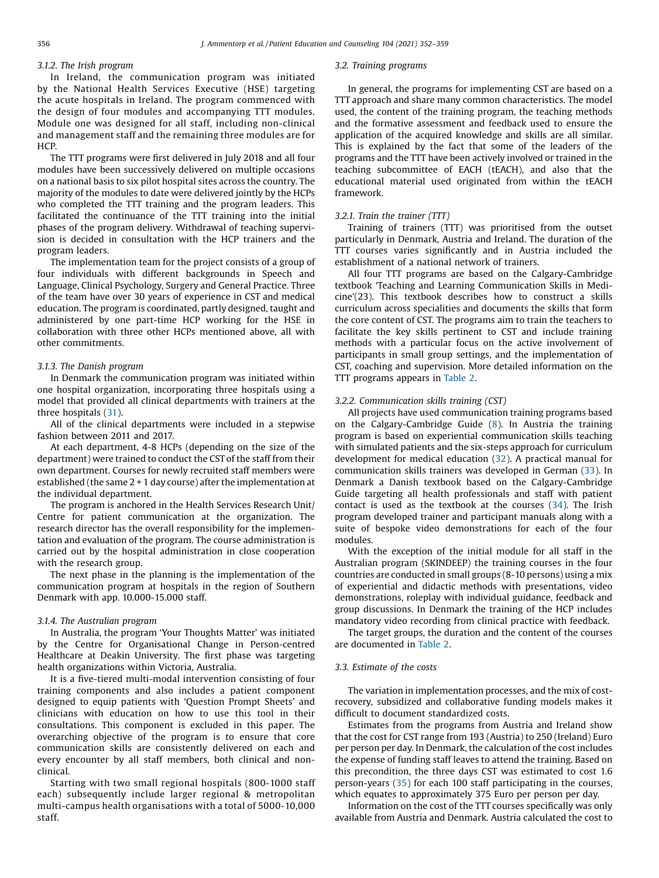## 3.1.2. The Irish program

In Ireland, the communication program was initiated by the National Health Services Executive (HSE) targeting the acute hospitals in Ireland. The program commenced with the design of four modules and accompanying TTT modules. Module one was designed for all staff, including non-clinical and management staff and the remaining three modules are for HCP.

The TTT programs were first delivered in July 2018 and all four modules have been successively delivered on multiple occasions on a national basis to six pilot hospital sites across the country. The majority of the modules to date were delivered jointly by the HCPs who completed the TTT training and the program leaders. This facilitated the continuance of the TTT training into the initial phases of the program delivery. Withdrawal of teaching supervision is decided in consultation with the HCP trainers and the program leaders.

The implementation team for the project consists of a group of four individuals with different backgrounds in Speech and Language, Clinical Psychology, Surgery and General Practice. Three of the team have over 30 years of experience in CST and medical education. The program is coordinated, partly designed, taught and administered by one part-time HCP working for the HSE in collaboration with three other HCPs mentioned above, all with other commitments.

## 3.1.3. The Danish program

In Denmark the communication program was initiated within one hospital organization, incorporating three hospitals using a model that provided all clinical departments with trainers at the three hospitals ([31](#page-7-0)).

All of the clinical departments were included in a stepwise fashion between 2011 and 2017.

At each department, 4-8 HCPs (depending on the size of the department) were trained to conduct the CSTof the staff from their own department. Courses for newly recruited staff members were established (the same 2 + 1 day course) after the implementation at the individual department.

The program is anchored in the Health Services Research Unit/ Centre for patient communication at the organization. The research director has the overall responsibility for the implementation and evaluation of the program. The course administration is carried out by the hospital administration in close cooperation with the research group.

The next phase in the planning is the implementation of the communication program at hospitals in the region of Southern Denmark with app. 10.000-15.000 staff.

## 3.1.4. The Australian program

In Australia, the program 'Your Thoughts Matter' was initiated by the Centre for Organisational Change in Person-centred Healthcare at Deakin University. The first phase was targeting health organizations within Victoria, Australia.

It is a five-tiered multi-modal intervention consisting of four training components and also includes a patient component designed to equip patients with 'Question Prompt Sheets' and clinicians with education on how to use this tool in their consultations. This component is excluded in this paper. The overarching objective of the program is to ensure that core communication skills are consistently delivered on each and every encounter by all staff members, both clinical and nonclinical.

Starting with two small regional hospitals (800-1000 staff each) subsequently include larger regional & metropolitan multi-campus health organisations with a total of 5000-10,000 staff.

#### 3.2. Training programs

In general, the programs for implementing CST are based on a TTT approach and share many common characteristics. The model used, the content of the training program, the teaching methods and the formative assessment and feedback used to ensure the application of the acquired knowledge and skills are all similar. This is explained by the fact that some of the leaders of the programs and the TTT have been actively involved or trained in the teaching subcommittee of EACH (tEACH), and also that the educational material used originated from within the tEACH framework.

### 3.2.1. Train the trainer (TTT)

Training of trainers (TTT) was prioritised from the outset particularly in Denmark, Austria and Ireland. The duration of the TTT courses varies significantly and in Austria included the establishment of a national network of trainers.

All four TTT programs are based on the Calgary-Cambridge textbook 'Teaching and Learning Communication Skills in Medicine'(23). This textbook describes how to construct a skills curriculum across specialities and documents the skills that form the core content of CST. The programs aim to train the teachers to facilitate the key skills pertinent to CST and include training methods with a particular focus on the active involvement of participants in small group settings, and the implementation of CST, coaching and supervision. More detailed information on the TTT programs appears in [Table](#page-2-0) 2.

## 3.2.2. Communication skills training (CST)

All projects have used communication training programs based on the Calgary-Cambridge Guide ([8\)](#page-6-0). In Austria the training program is based on experiential communication skills teaching with simulated patients and the six-steps approach for curriculum development for medical education ([32\)](#page-7-0). A practical manual for communication skills trainers was developed in German [\(33](#page-7-0)). In Denmark a Danish textbook based on the Calgary-Cambridge Guide targeting all health professionals and staff with patient contact is used as the textbook at the courses [\(34](#page-7-0)). The Irish program developed trainer and participant manuals along with a suite of bespoke video demonstrations for each of the four modules.

With the exception of the initial module for all staff in the Australian program (SKINDEEP) the training courses in the four countries are conducted in small groups (8-10 persons) using a mix of experiential and didactic methods with presentations, video demonstrations, roleplay with individual guidance, feedback and group discussions. In Denmark the training of the HCP includes mandatory video recording from clinical practice with feedback.

The target groups, the duration and the content of the courses are documented in [Table](#page-2-0) 2.

## 3.3. Estimate of the costs

The variation in implementation processes, and the mix of costrecovery, subsidized and collaborative funding models makes it difficult to document standardized costs.

Estimates from the programs from Austria and Ireland show that the cost for CST range from 193 (Austria) to 250 (Ireland) Euro per person per day. In Denmark, the calculation of the cost includes the expense of funding staff leaves to attend the training. Based on this precondition, the three days CST was estimated to cost 1.6 person-years [\(35](#page-7-0)) for each 100 staff participating in the courses, which equates to approximately 375 Euro per person per day.

Information on the cost of the TTT courses specifically was only available from Austria and Denmark. Austria calculated the cost to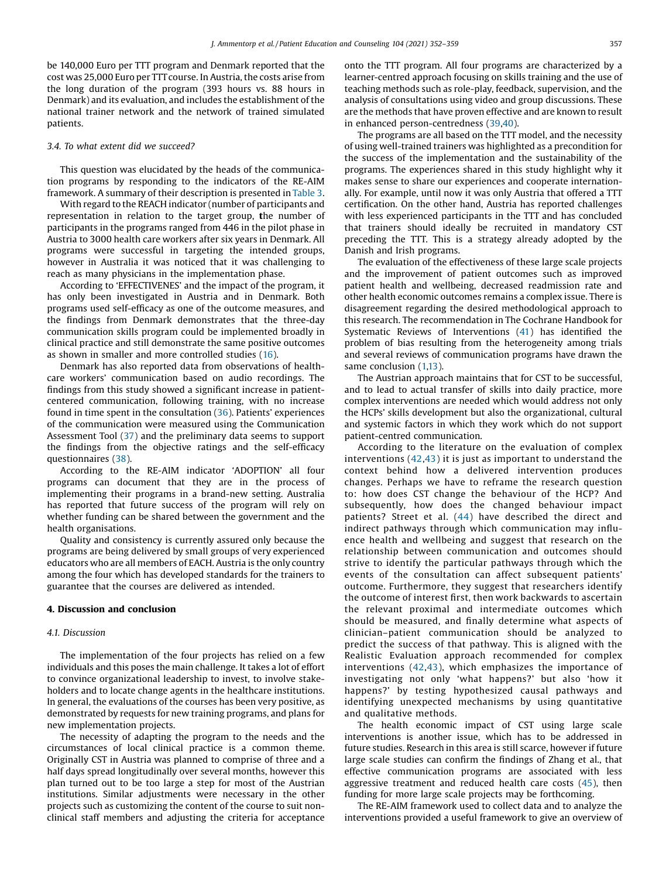be 140,000 Euro per TTT program and Denmark reported that the cost was 25,000 Euro per TTT course. In Austria, the costs arise from the long duration of the program (393 hours vs. 88 hours in Denmark) and its evaluation, and includes the establishment of the national trainer network and the network of trained simulated patients.

#### 3.4. To what extent did we succeed?

This question was elucidated by the heads of the communication programs by responding to the indicators of the RE-AIM framework. A summary of their description is presented in [Table](#page-3-0) 3.

With regard to the REACH indicator (number of participants and representation in relation to the target group, the number of participants in the programs ranged from 446 in the pilot phase in Austria to 3000 health care workers after six years in Denmark. All programs were successful in targeting the intended groups, however in Australia it was noticed that it was challenging to reach as many physicians in the implementation phase.

According to 'EFFECTIVENES' and the impact of the program, it has only been investigated in Austria and in Denmark. Both programs used self-efficacy as one of the outcome measures, and the findings from Denmark demonstrates that the three-day communication skills program could be implemented broadly in clinical practice and still demonstrate the same positive outcomes as shown in smaller and more controlled studies ([16\)](#page-6-0).

Denmark has also reported data from observations of healthcare workers' communication based on audio recordings. The findings from this study showed a significant increase in patientcentered communication, following training, with no increase found in time spent in the consultation ([36](#page-7-0)). Patients' experiences of the communication were measured using the Communication Assessment Tool ([37](#page-7-0)) and the preliminary data seems to support the findings from the objective ratings and the self-efficacy questionnaires ([38](#page-7-0)).

According to the RE-AIM indicator 'ADOPTION' all four programs can document that they are in the process of implementing their programs in a brand-new setting. Australia has reported that future success of the program will rely on whether funding can be shared between the government and the health organisations.

Quality and consistency is currently assured only because the programs are being delivered by small groups of very experienced educators who are all members of EACH. Austria is the only country among the four which has developed standards for the trainers to guarantee that the courses are delivered as intended.

# 4. Discussion and conclusion

#### 4.1. Discussion

The implementation of the four projects has relied on a few individuals and this poses the main challenge. It takes a lot of effort to convince organizational leadership to invest, to involve stakeholders and to locate change agents in the healthcare institutions. In general, the evaluations of the courses has been very positive, as demonstrated by requests for new training programs, and plans for new implementation projects.

The necessity of adapting the program to the needs and the circumstances of local clinical practice is a common theme. Originally CST in Austria was planned to comprise of three and a half days spread longitudinally over several months, however this plan turned out to be too large a step for most of the Austrian institutions. Similar adjustments were necessary in the other projects such as customizing the content of the course to suit nonclinical staff members and adjusting the criteria for acceptance onto the TTT program. All four programs are characterized by a learner-centred approach focusing on skills training and the use of teaching methods such as role-play, feedback, supervision, and the analysis of consultations using video and group discussions. These are the methods that have proven effective and are known to result in enhanced person-centredness ([39](#page-7-0),[40](#page-7-0)).

The programs are all based on the TTT model, and the necessity of using well-trained trainers was highlighted as a precondition for the success of the implementation and the sustainability of the programs. The experiences shared in this study highlight why it makes sense to share our experiences and cooperate internationally. For example, until now it was only Austria that offered a TTT certification. On the other hand, Austria has reported challenges with less experienced participants in the TTT and has concluded that trainers should ideally be recruited in mandatory CST preceding the TTT. This is a strategy already adopted by the Danish and Irish programs.

The evaluation of the effectiveness of these large scale projects and the improvement of patient outcomes such as improved patient health and wellbeing, decreased readmission rate and other health economic outcomes remains a complex issue. There is disagreement regarding the desired methodological approach to this research. The recommendation in The Cochrane Handbook for Systematic Reviews of Interventions ([41](#page-7-0)) has identified the problem of bias resulting from the heterogeneity among trials and several reviews of communication programs have drawn the same conclusion [\(1,13](#page-6-0)).

The Austrian approach maintains that for CST to be successful, and to lead to actual transfer of skills into daily practice, more complex interventions are needed which would address not only the HCPs' skills development but also the organizational, cultural and systemic factors in which they work which do not support patient-centred communication.

According to the literature on the evaluation of complex interventions ([42](#page-7-0),[43](#page-7-0)) it is just as important to understand the context behind how a delivered intervention produces changes. Perhaps we have to reframe the research question to: how does CST change the behaviour of the HCP? And subsequently, how does the changed behaviour impact patients? Street et al. ([44](#page-7-0)) have described the direct and indirect pathways through which communication may influence health and wellbeing and suggest that research on the relationship between communication and outcomes should strive to identify the particular pathways through which the events of the consultation can affect subsequent patients' outcome. Furthermore, they suggest that researchers identify the outcome of interest first, then work backwards to ascertain the relevant proximal and intermediate outcomes which should be measured, and finally determine what aspects of clinician–patient communication should be analyzed to predict the success of that pathway. This is aligned with the Realistic Evaluation approach recommended for complex interventions [\(42,43](#page-7-0)), which emphasizes the importance of investigating not only 'what happens?' but also 'how it happens?' by testing hypothesized causal pathways and identifying unexpected mechanisms by using quantitative and qualitative methods.

The health economic impact of CST using large scale interventions is another issue, which has to be addressed in future studies. Research in this area is still scarce, however if future large scale studies can confirm the findings of Zhang et al., that effective communication programs are associated with less aggressive treatment and reduced health care costs  $(45)$ , then funding for more large scale projects may be forthcoming.

The RE-AIM framework used to collect data and to analyze the interventions provided a useful framework to give an overview of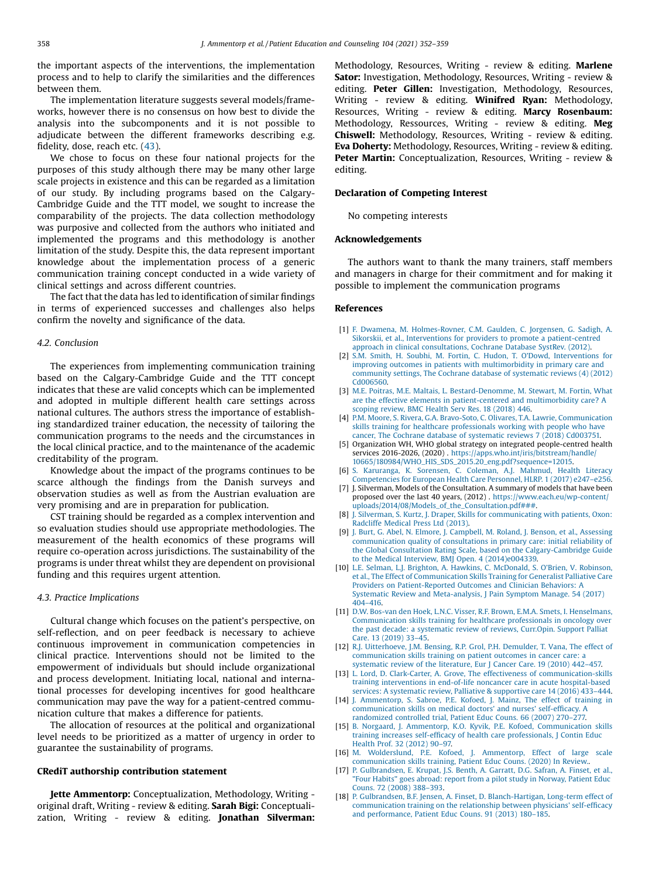<span id="page-6-0"></span>the important aspects of the interventions, the implementation process and to help to clarify the similarities and the differences between them.

The implementation literature suggests several models/frameworks, however there is no consensus on how best to divide the analysis into the subcomponents and it is not possible to adjudicate between the different frameworks describing e.g. fidelity, dose, reach etc. [\(43](#page-7-0)).

We chose to focus on these four national projects for the purposes of this study although there may be many other large scale projects in existence and this can be regarded as a limitation of our study. By including programs based on the Calgary-Cambridge Guide and the TTT model, we sought to increase the comparability of the projects. The data collection methodology was purposive and collected from the authors who initiated and implemented the programs and this methodology is another limitation of the study. Despite this, the data represent important knowledge about the implementation process of a generic communication training concept conducted in a wide variety of clinical settings and across different countries.

The fact that the data has led to identification of similar findings in terms of experienced successes and challenges also helps confirm the novelty and significance of the data.

### 4.2. Conclusion

The experiences from implementing communication training based on the Calgary-Cambridge Guide and the TTT concept indicates that these are valid concepts which can be implemented and adopted in multiple different health care settings across national cultures. The authors stress the importance of establishing standardized trainer education, the necessity of tailoring the communication programs to the needs and the circumstances in the local clinical practice, and to the maintenance of the academic creditability of the program.

Knowledge about the impact of the programs continues to be scarce although the findings from the Danish surveys and observation studies as well as from the Austrian evaluation are very promising and are in preparation for publication.

CST training should be regarded as a complex intervention and so evaluation studies should use appropriate methodologies. The measurement of the health economics of these programs will require co-operation across jurisdictions. The sustainability of the programs is under threat whilst they are dependent on provisional funding and this requires urgent attention.

### 4.3. Practice Implications

Cultural change which focuses on the patient's perspective, on self-reflection, and on peer feedback is necessary to achieve continuous improvement in communication competencies in clinical practice. Interventions should not be limited to the empowerment of individuals but should include organizational and process development. Initiating local, national and international processes for developing incentives for good healthcare communication may pave the way for a patient-centred communication culture that makes a difference for patients.

The allocation of resources at the political and organizational level needs to be prioritized as a matter of urgency in order to guarantee the sustainability of programs.

#### CRediT authorship contribution statement

Jette Ammentorp: Conceptualization, Methodology, Writing original draft, Writing - review & editing. Sarah Bigi: Conceptualization, Writing - review & editing. **Jonathan Silverman:**  Methodology, Resources, Writing - review & editing. Marlene Sator: Investigation, Methodology, Resources, Writing - review & editing. Peter Gillen: Investigation, Methodology, Resources, Writing - review & editing. Winifred Ryan: Methodology, Resources, Writing - review & editing. Marcy Rosenbaum: Methodology, Ressources, Writing - review & editing. Meg Chiswell: Methodology, Resources, Writing - review & editing. Eva Doherty: Methodology, Resources, Writing - review & editing. Peter Martin: Conceptualization, Resources, Writing - review & editing.

#### Declaration of Competing Interest

No competing interests

#### Acknowledgements

The authors want to thank the many trainers, staff members and managers in charge for their commitment and for making it possible to implement the communication programs

#### References

- [1] F. Dwamena, M. [Holmes-Rovner,](http://refhub.elsevier.com/S0738-3991(20)30459-6/sbref0005) C.M. Gaulden, C. Jorgensen, G. Sadigh, A. Sikorskii, et al., Interventions for providers to promote a [patient-centred](http://refhub.elsevier.com/S0738-3991(20)30459-6/sbref0005) approach in clinical [consultations,](http://refhub.elsevier.com/S0738-3991(20)30459-6/sbref0005) Cochrane Database SystRev. (2012).
- [2] S.M. Smith, H. Soubhi, M. Fortin, C. Hudon, T. O'Dowd, [Interventions](http://refhub.elsevier.com/S0738-3991(20)30459-6/sbref0010) for improving outcomes in patients with [multimorbidity](http://refhub.elsevier.com/S0738-3991(20)30459-6/sbref0010) in primary care and [community](http://refhub.elsevier.com/S0738-3991(20)30459-6/sbref0010) settings, The Cochrane database of systematic reviews (4) (2012) [Cd006560.](http://refhub.elsevier.com/S0738-3991(20)30459-6/sbref0010)
- [3] M.E. Poitras, M.E. Maltais, L. [Bestard-Denomme,](http://refhub.elsevier.com/S0738-3991(20)30459-6/sbref0015) M. Stewart, M. Fortin, What are the effective elements in [patient-centered](http://refhub.elsevier.com/S0738-3991(20)30459-6/sbref0015) and multimorbidity care? A [scoping](http://refhub.elsevier.com/S0738-3991(20)30459-6/sbref0015) review, BMC Health Serv Res. 18 (2018) 446.
- [4] P.M. Moore, S. Rivera, G.A. Bravo-Soto, C. Olivares, T.A. Lawrie, [Communication](http://refhub.elsevier.com/S0738-3991(20)30459-6/sbref0020) skills training for healthcare [professionals](http://refhub.elsevier.com/S0738-3991(20)30459-6/sbref0020) working with people who have cancer, The Cochrane database of [systematic](http://refhub.elsevier.com/S0738-3991(20)30459-6/sbref0020) reviews 7 (2018) Cd003751.
- [5] Organization WH, WHO global strategy on integrated people-centred health services 2016-2026, (2020) . [https://apps.who.int/iris/bitstream/handle/](https://apps.who.int/iris/bitstream/handle/10665/180984/WHO_HIS_SDS_2015.20_eng.pdf?sequence=12015) [10665/180984/WHO\\_HIS\\_SDS\\_2015.20\\_eng.pdf?sequence=12015](https://apps.who.int/iris/bitstream/handle/10665/180984/WHO_HIS_SDS_2015.20_eng.pdf?sequence=12015).
- [6] S. [Karuranga,](http://refhub.elsevier.com/S0738-3991(20)30459-6/sbref0030) K. Sorensen, C. Coleman, A.J. Mahmud, Health Literacy [Competencies](http://refhub.elsevier.com/S0738-3991(20)30459-6/sbref0030) for European Health Care Personnel, HLRP. 1 (2017) e247–e256.
- [7] J. Silverman, Models of the Consultation. A summary of models that have been proposed over the last 40 years, (2012) . [https://www.each.eu/wp-content/](https://www.each.eu/wp-content/uploads/2014/08/Models_of_the_Consultation.pdf###) [uploads/2014/08/Models\\_of\\_the\\_Consultation.pdf###](https://www.each.eu/wp-content/uploads/2014/08/Models_of_the_Consultation.pdf###).
- [8] J. Silverman, S. Kurtz, J. Draper, Skills for [communicating](http://refhub.elsevier.com/S0738-3991(20)30459-6/sbref0040) with patients, Oxon: [Radcliffe](http://refhub.elsevier.com/S0738-3991(20)30459-6/sbref0040) Medical Press Ltd (2013).
- [9] J. Burt, G. Abel, N. Elmore, J. [Campbell,](http://refhub.elsevier.com/S0738-3991(20)30459-6/sbref0045) M. Roland, J. Benson, et al., Assessing [communication](http://refhub.elsevier.com/S0738-3991(20)30459-6/sbref0045) quality of consultations in primary care: initial reliability of the Global Consultation Rating Scale, based on the [Calgary-Cambridge](http://refhub.elsevier.com/S0738-3991(20)30459-6/sbref0045) Guide to the Medical Interview, BMJ Open. 4 [\(2014\)e004339](http://refhub.elsevier.com/S0738-3991(20)30459-6/sbref0045).
- [10] L.E. Selman, L.J. Brighton, A. Hawkins, C. [McDonald,](http://refhub.elsevier.com/S0738-3991(20)30459-6/sbref0050) S. O'Brien, V. Robinson, et al., The Effect of [Communication](http://refhub.elsevier.com/S0738-3991(20)30459-6/sbref0050) Skills Training for Generalist Palliative Care Providers on [Patient-Reported](http://refhub.elsevier.com/S0738-3991(20)30459-6/sbref0050) Outcomes and Clinician Behaviors: A Systematic Review and [Meta-analysis,](http://refhub.elsevier.com/S0738-3991(20)30459-6/sbref0050) J Pain Symptom Manage. 54 (2017) 404–[416.](http://refhub.elsevier.com/S0738-3991(20)30459-6/sbref0050)
- [11] D.W. Bos-van den Hoek, L.N.C. Visser, R.F. Brown, E.M.A. Smets, I. [Henselmans,](http://refhub.elsevier.com/S0738-3991(20)30459-6/sbref0055) [Communication](http://refhub.elsevier.com/S0738-3991(20)30459-6/sbref0055) skills training for healthcare professionals in oncology over the past decade: a [systematic](http://refhub.elsevier.com/S0738-3991(20)30459-6/sbref0055) review of reviews, Curr.Opin. Support Palliat Care. 13 [\(2019\)](http://refhub.elsevier.com/S0738-3991(20)30459-6/sbref0055) 33–45.
- [12] R.J. [Uitterhoeve,](http://refhub.elsevier.com/S0738-3991(20)30459-6/sbref0060) J.M. Bensing, R.P. Grol, P.H. Demulder, T. Vana, The effect of [communication](http://refhub.elsevier.com/S0738-3991(20)30459-6/sbref0060) skills training on patient outcomes in cancer care: a [systematic](http://refhub.elsevier.com/S0738-3991(20)30459-6/sbref0060) review of the literature, Eur J Cancer Care. 19 (2010) 442-457.
- [13] L. Lord, D. Clark-Carter, A. Grove, The effectiveness of [communication-skills](http://refhub.elsevier.com/S0738-3991(20)30459-6/sbref0065) training interventions in end-of-life noncancer care in acute [hospital-based](http://refhub.elsevier.com/S0738-3991(20)30459-6/sbref0065) services: A systematic review, Palliative & [supportive](http://refhub.elsevier.com/S0738-3991(20)30459-6/sbref0065) care 14 (2016) 433–444.
- [14] J. [Ammentorp,](http://refhub.elsevier.com/S0738-3991(20)30459-6/sbref0070) S. Sabroe, P.E. Kofoed, J. Mainz, The effect of training in [communication](http://refhub.elsevier.com/S0738-3991(20)30459-6/sbref0070) skills on medical doctors' and nurses' self-efficacy. A [randomized](http://refhub.elsevier.com/S0738-3991(20)30459-6/sbref0070) controlled trial, Patient Educ Couns. 66 (2007) 270–277.
- [15] B. Norgaard, J. Ammentorp, K.O. Kyvik, P.E. Kofoed, [Communication](http://refhub.elsevier.com/S0738-3991(20)30459-6/sbref0075) skills training increases self-efficacy of health care [professionals,](http://refhub.elsevier.com/S0738-3991(20)30459-6/sbref0075) J Contin Educ [Health](http://refhub.elsevier.com/S0738-3991(20)30459-6/sbref0075) Prof. 32 (2012) 90–97.
- [16] M. [Wolderslund,](http://refhub.elsevier.com/S0738-3991(20)30459-6/sbref0080) P.E. Kofoed, J. Ammentorp, Effect of large scale [communication](http://refhub.elsevier.com/S0738-3991(20)30459-6/sbref0080) skills training, Patient Educ Couns. (2020) In Review..
- P. [Gulbrandsen,](http://refhub.elsevier.com/S0738-3991(20)30459-6/sbref0085) E. Krupat, J.S. Benth, A. Garratt, D.G. Safran, A. Finset, et al., "Four Habits" goes abroad: report from a pilot study in [Norway,](http://refhub.elsevier.com/S0738-3991(20)30459-6/sbref0085) Patient Educ Couns. 72 [\(2008\)](http://refhub.elsevier.com/S0738-3991(20)30459-6/sbref0085) 388–393.
- [18] P. Gulbrandsen, B.F. Jensen, A. Finset, D. [Blanch-Hartigan,](http://refhub.elsevier.com/S0738-3991(20)30459-6/sbref0090) Long-term effect of [communication](http://refhub.elsevier.com/S0738-3991(20)30459-6/sbref0090) training on the relationship between physicians' self-efficacy and [performance,](http://refhub.elsevier.com/S0738-3991(20)30459-6/sbref0090) Patient Educ Couns. 91 (2013) 180–185.